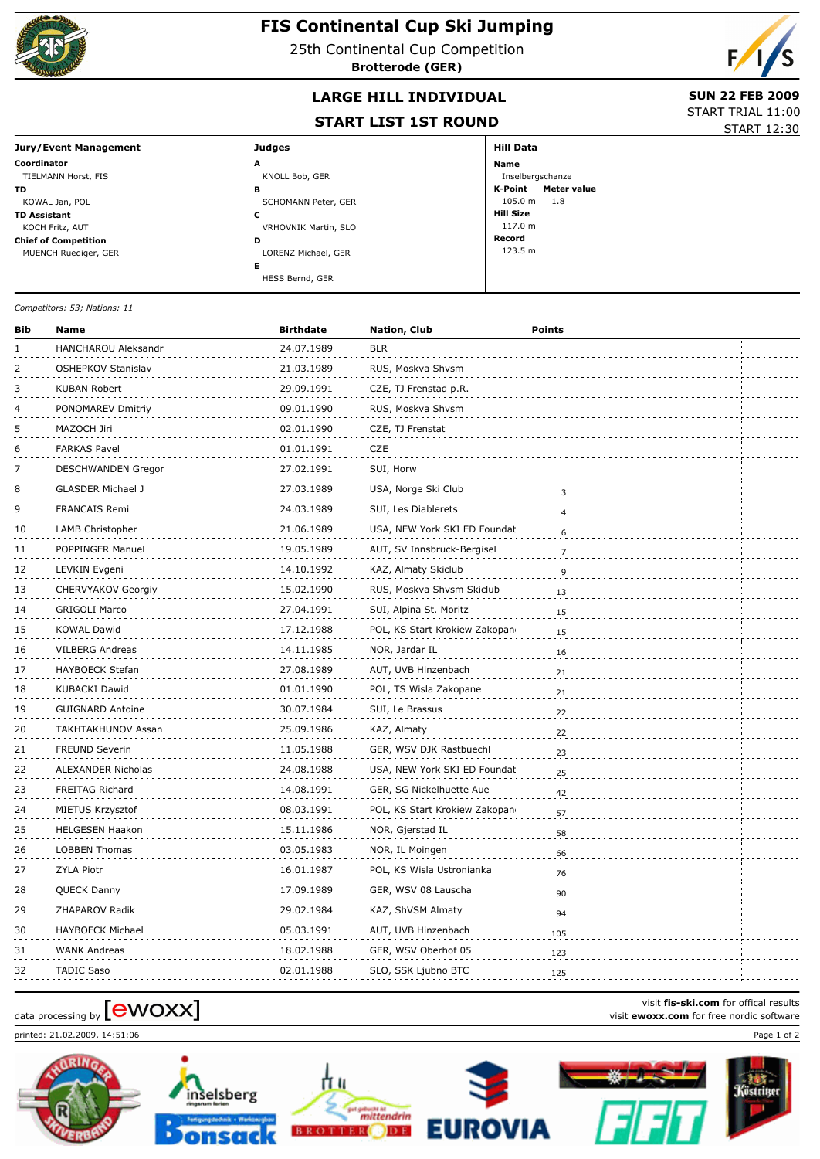

## **FIS Continental Cup Ski Jumping**

25th Continental Cup Competition

**Brotterode (GER)**



## **LARGE HILL INDIVIDUAL** SUN 22 FEB 2009

## **START LIST 1ST ROUND**

START TRIAL 11:00 START 12:30

| Jury/Event Management       | <b>Judges</b>        | <b>Hill Data</b>              |
|-----------------------------|----------------------|-------------------------------|
| Coordinator                 | A                    | <b>Name</b>                   |
| TIELMANN Horst, FIS         | KNOLL Bob, GER       | Inselbergschanze              |
| TD.                         | в                    | K-Point<br><b>Meter value</b> |
| KOWAL Jan, POL              | SCHOMANN Peter, GER  | 105.0 m<br>1.8                |
| <b>TD Assistant</b>         | c                    | <b>Hill Size</b>              |
| KOCH Fritz, AUT             | VRHOVNIK Martin, SLO | 117.0 m                       |
| <b>Chief of Competition</b> | D                    | Record                        |
| MUENCH Ruediger, GER        | LORENZ Michael, GER  | 123.5 m                       |
|                             | Е                    |                               |
|                             | HESS Bernd, GER      |                               |

*Competitors: 53; Nations: 11*

| Bib | Name                      | <b>Birthdate</b> | Nation, Club                  | <b>Points</b>   |  |  |
|-----|---------------------------|------------------|-------------------------------|-----------------|--|--|
| 1   | HANCHAROU Aleksandr       | 24.07.1989       | <b>BLR</b>                    |                 |  |  |
| 2   | OSHEPKOV Stanislav        | 21.03.1989       | RUS, Moskva Shvsm             |                 |  |  |
| 3   | KUBAN Robert              | 29.09.1991       | CZE, TJ Frenstad p.R.         |                 |  |  |
| 4   | PONOMAREV Dmitriy         | 09.01.1990       | RUS, Moskva Shvsm             |                 |  |  |
| 5   | MAZOCH Jiri               | 02.01.1990       | CZE, TJ Frenstat              |                 |  |  |
| 6   | <b>FARKAS Pavel</b>       | 01.01.1991       | <b>CZE</b>                    |                 |  |  |
| 7   | <b>DESCHWANDEN Gregor</b> | 27.02.1991       | SUI, Horw                     |                 |  |  |
| 8   | GLASDER Michael J         | 27.03.1989       | USA, Norge Ski Club           | 3               |  |  |
| 9   | <b>FRANCAIS Remi</b>      | 24.03.1989       | SUI, Les Diablerets           | $\overline{4}$  |  |  |
| 10  | LAMB Christopher          | 21.06.1989       | USA, NEW York SKI ED Foundat  | 6 <sup>1</sup>  |  |  |
| 11  | POPPINGER Manuel          | 19.05.1989       | AUT, SV Innsbruck-Bergisel    | 7 <sub>i</sub>  |  |  |
| 12  | LEVKIN Evgeni             | 14.10.1992       | KAZ, Almaty Skiclub           | 9 <sup>1</sup>  |  |  |
| 13  | CHERVYAKOV Georgiy        | 15.02.1990       | RUS, Moskva Shvsm Skiclub     | 13              |  |  |
| 14  | <b>GRIGOLI Marco</b>      | 27.04.1991       | SUI, Alpina St. Moritz        | 15              |  |  |
| 15  | <b>KOWAL Dawid</b>        | 17.12.1988       | POL, KS Start Krokiew Zakopan | 15 <sup>1</sup> |  |  |
| 16  | <b>VILBERG Andreas</b>    | 14.11.1985       | NOR, Jardar IL                | 16 <sub>1</sub> |  |  |
| 17  | <b>HAYBOECK Stefan</b>    | 27.08.1989       | AUT, UVB Hinzenbach           | 21 <sub>1</sub> |  |  |
| 18  | <b>KUBACKI Dawid</b>      | 01.01.1990       | POL, TS Wisla Zakopane        | 21              |  |  |
| 19  | GUIGNARD Antoine          | 30.07.1984       | SUI, Le Brassus               | 22.             |  |  |
| 20  | <b>TAKHTAKHUNOV Assan</b> | 25.09.1986       | KAZ, Almaty                   | 22              |  |  |
| 21  | <b>FREUND Severin</b>     | 11.05.1988       | GER, WSV DJK Rastbuechl       | 23 <sub>1</sub> |  |  |
| 22  | <b>ALEXANDER Nicholas</b> | 24.08.1988       | USA, NEW York SKI ED Foundat  | 25 <sub>1</sub> |  |  |
| 23  | FREITAG Richard           | 14.08.1991       | GER, SG Nickelhuette Aue      | 42 <sup>1</sup> |  |  |
| 24  | MIETUS Krzysztof          | 08.03.1991       | POL, KS Start Krokiew Zakopan | 57              |  |  |
| 25  | <b>HELGESEN Haakon</b>    | 15.11.1986       | NOR, Gjerstad IL              | 58              |  |  |
| 26  | <b>LOBBEN Thomas</b>      | 03.05.1983       | NOR, IL Moingen               | 66              |  |  |
| 27  | <b>ZYLA Piotr</b>         | 16.01.1987       | POL, KS Wisla Ustronianka     | 76'             |  |  |
| 28  | QUECK Danny               | 17.09.1989       | GER, WSV 08 Lauscha           | 90 <sub>1</sub> |  |  |
| 29  | ZHAPAROV Radik            | 29.02.1984       | KAZ, ShVSM Almaty             | 94.             |  |  |
| 30  | <b>HAYBOECK Michael</b>   | 05.03.1991       | AUT, UVB Hinzenbach           | 105             |  |  |
| 31  | <b>WANK Andreas</b>       | 18.02.1988       | GER, WSV Oberhof 05           | 123             |  |  |
| 32  | <b>TADIC Saso</b>         | 02.01.1988       | SLO, SSK Ljubno BTC           | 125             |  |  |

printed: 21.02.2009, 14:51:06 Page 1 of 2